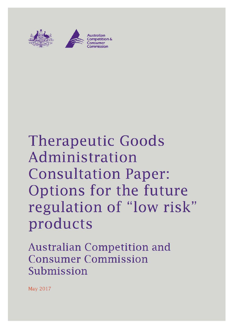

# Therapeutic Goods **Administration**  Consultation Paper: Options for the future regulation of "low risk" products

**Australian Competition and Consumer Commission Submission** 

May 2017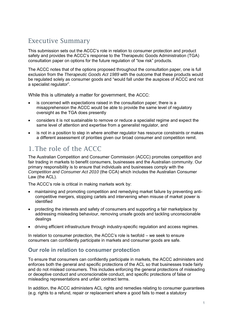# Executive Summary

This submission sets out the ACCC's role in relation to consumer protection and product safety and provides the ACCC's response to the Therapeutic Goods Administration (TGA) consultation paper on options for the future regulation of "low risk" products.

The ACCC notes that of the options proposed throughout the consultation paper, one is full exclusion from the *Therapeutic Goods Act 1989* with the outcome that these products would be regulated solely as consumer goods and "would fall under the auspices of ACCC and not a specialist regulator".

While this is ultimately a matter for government, the ACCC:

- is concerned with expectations raised in the consultation paper; there is a misapprehension the ACCC would be able to provide the same level of regulatory oversight as the TGA does presently
- considers it is not sustainable to remove or reduce a specialist regime and expect the same level of attention and expertise from a generalist regulator, and
- is not in a position to step in where another regulator has resource constraints or makes a different assessment of priorities given our broad consumer and competition remit.

## 1.The role of the ACCC

The Australian Competition and Consumer Commission (ACCC) promotes competition and fair trading in markets to benefit consumers, businesses and the Australian community. Our primary responsibility is to ensure that individuals and businesses comply with the *Competition and Consumer Act 2010* (the CCA) which includes the Australian Consumer Law (the ACL).

The ACCC's role is critical in making markets work by:

- maintaining and promoting competition and remedying market failure by preventing anticompetitive mergers, stopping cartels and intervening when misuse of market power is identified
- protecting the interests and safety of consumers and supporting a fair marketplace by addressing misleading behaviour, removing unsafe goods and tackling unconscionable dealings
- driving efficient infrastructure through industry-specific regulation and access regimes.

In relation to consumer protection, the ACCC's role is twofold – we seek to ensure consumers can confidently participate in markets and consumer goods are safe.

#### **Our role in relation to consumer protection**

To ensure that consumers can confidently participate in markets, the ACCC administers and enforces both the general and specific protections of the ACL so that businesses trade fairly and do not mislead consumers. This includes enforcing the general protections of misleading or deceptive conduct and unconscionable conduct, and specific protections of false or misleading representations and unfair contract terms.

In addition, the ACCC administers ACL rights and remedies relating to consumer guarantees (e.g. rights to a refund, repair or replacement where a good fails to meet a statutory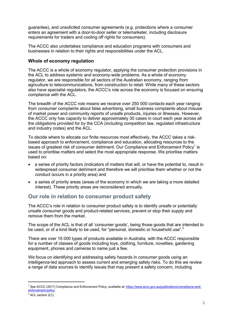guarantee), and unsolicited consumer agreements (e.g. protections where a consumer enters an agreement with a door-to-door seller or telemarketer, including disclosure requirements for traders and cooling off rights for consumers).

The ACCC also undertakes compliance and education programs with consumers and businesses in relation to their rights and responsibilities under the ACL.

#### **Whole of economy regulation**

The ACCC is a whole of economy regulator, applying the consumer protection provisions in the ACL to address systemic and economy-wide problems. As a whole of economy regulator, we are responsible for all sectors of the Australian economy, ranging from agriculture to telecommunications, from construction to retail. While many of these sectors also have specialist regulators, the ACCC's role across the economy is focused on ensuring compliance with the ACL.

The breadth of the ACCC role means we receive over 250 000 contacts each year ranging from consumer complaints about false advertising, small business complaints about misuse of market power and community reports of unsafe products, injuries or illnesses. However, the ACCC only has capacity to deliver approximately 30 cases in court each year across all the obligations provided for by the CCA (including competition law, regulated infrastructure and industry codes) and the ACL.

To decide where to allocate our finite resources most effectively, the ACCC takes a riskbased approach to enforcement, compliance and education, allocating resources to the issues of greatest risk of consumer detriment. Our Compliance and Enforcement Policy<sup>1</sup> is used to prioritise matters and select the most appropriate response. We prioritise matters based on:

- a series of priority factors (indicators of matters that will, or have the potential to, result in widespread consumer detriment and therefore we will prioritise them whether or not the conduct occurs in a priority area) and
- a series of priority areas (areas of the economy in which we are taking a more detailed interest). These priority areas are reconsidered annually.

#### **Our role in relation to consumer product safety**

The ACCC's role in relation to consumer product safety is to identify unsafe or potentially unsafe consumer goods and product-related services, prevent or stop their supply and remove them from the market.

The scope of the ACL is that of all 'consumer goods', being those goods that are intended to be used, or of a kind likely to be used, for "personal, domestic or household use".<sup>2</sup>

There are over 15 000 types of products available in Australia, with the ACCC responsible for a number of classes of goods including toys, clothing, furniture, novelties, gardening equipment, phones and cameras to name just a few.

We focus on identifying and addressing safety hazards in consumer goods using an intelligence-led approach to assess current and emerging safety risks. To do this we review a range of data sources to identify issues that may present a safety concern, including

-

<sup>&</sup>lt;sup>1</sup> See ACCC (2017) Compliance and Enforcement Policy, available at: https://www.accc.gov.au/publications/compliance-andenforcement-policy.

 $2$  ACL section 2(1).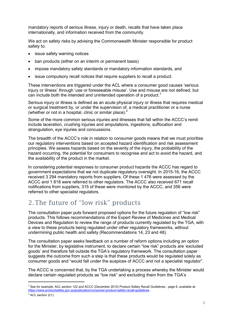mandatory reports of serious illness, injury or death, recalls that have taken place internationally, and information received from the community.

We act on safety risks by advising the Commonwealth Minister responsible for product safety to:

- issue safety warning notices
- ban products (either on an interim or permanent basis)
- impose mandatory safety standards or mandatory information standards, and
- issue compulsory recall notices that require suppliers to recall a product.

These interventions are triggered under the ACL where a consumer good causes 'serious injury or illness' through 'use or foreseeable misuse'. Use and misuse are not defined, but can include both the intended and unintended operation of a product.<sup>3</sup>

Serious injury or illness is defined as an acute physical injury or illness that requires medical or surgical treatment by, or under the supervision of, a medical practitioner or a nurse (whether or not in a hospital, clinic or similar place). $4$ 

Some of the more common serious injuries and illnesses that fall within the ACCC's remit include laceration, crushing injuries and amputations, ingestions, suffocation and strangulation, eye injuries and concussions.

The breadth of the ACCC's role in relation to consumer goods means that we must prioritise our regulatory interventions based on accepted hazard identification and risk assessment principles. We assess hazards based on the severity of the injury, the probability of the hazard occurring, the potential for consumers to recognise and act to avoid the hazard, and the availability of the product in the market.

In considering potential responses to consumer product hazards the ACCC has regard to government expectations that we not duplicate regulatory oversight. In 2015-16, the ACCC received 3 294 mandatory reports from suppliers. Of these 1 476 were assessed by the ACCC and 1 818 were referred to other regulators. The ACCC also received 671 recall notifications from suppliers, 315 of these were monitored by the ACCC, and 356 were referred to other specialist regulators.

## 2.The future of "low risk" products

The consultation paper puts forward proposed options for the future regulation of "low risk" products. This follows recommendations of the Expert Review of Medicines and Medical Devices and Regulation to review the range of products currently regulated by the TGA, with a view to these products being regulated under other regulatory frameworks, without undermining public health and safety (Recommendations 14, 23 and 48).

The consultation paper seeks feedback on a number of reform options including an option for the Minister, by legislative instrument, to declare certain "low risk" products are 'excluded goods' and therefore fall outside the TGA's regulatory framework. The consultation paper suggests the outcome from such a step is that these products would be regulated solely as consumer goods and "would fall under the auspices of ACCC and not a specialist regulator".

The ACCC is concerned that, by the TGA undertaking a process whereby the Minister would declare certain regulated products as "low risk" and excluding them from the TGA's

-

<sup>&</sup>lt;sup>3</sup> See for example, ACL section 122 and ACCC (December 2015) Product Safety Recall Guidelines, page 6, available at: https://www.productsafety.gov.au/publication/consumer-product-safety-recall-guidelines

<sup>&</sup>lt;sup>4</sup> ACL section 2(1).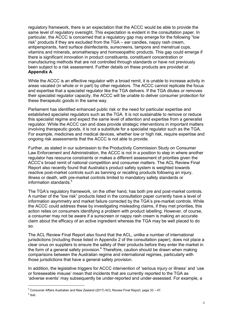regulatory framework, there is an expectation that the ACCC would be able to provide the same level of regulatory oversight. This expectation is evident in the consultation paper. In particular, the ACCC is concerned that a regulatory gap may emerge for the following "low risk" products if they are excluded from the TGA – ear candles, nappy rash cream, antiperspirants, hard surface disinfectants, sunscreens, tampons and menstrual cups, vitamins and minerals, aromatherapy and homoeopathic products. This gap could emerge if there is significant innovation in product constituents, constituent concentration or manufacturing methods that are not controlled through standards or have not previously been subject to a risk assessment. Further details on these products are provided at **Appendix A**.

While the ACCC is an effective regulator with a broad remit, it is unable to increase activity in areas vacated (in whole or in part) by other regulators. The ACCC cannot replicate the focus and expertise that a specialist regulator like the TGA delivers. If the TGA dilutes or removes their specialist regulator capacity, the ACCC will be unable to deliver consumer protection for these therapeutic goods in the same way.

Parliament has identified enhanced public risk or the need for particular expertise and established specialist regulators such as the TGA. It is not sustainable to remove or reduce this specialist regime and expect the same level of attention and expertise from a generalist regulator. While the ACCC can and does provide strategic interventions in important matters involving therapeutic goods, it is not a substitute for a specialist regulator such as the TGA. For example, medicines and medical devices, whether low or high risk, require expertise and ongoing risk assessments that the ACCC is not able to provide.

Further, as stated in our submission to the Productivity Commission Study on Consumer Law Enforcement and Administration, the ACCC is not in a position to step in where another regulator has resource constraints or makes a different assessment of priorities given the ACCC's broad remit of national competition and consumer matters. The ACL Review Final Report also recently found that Australia's product safety system is weighted towards reactive post-market controls such as banning or recalling products following an injury, illness or death, with pre-market controls limited to mandatory safety standards or information standards.<sup>5</sup>

The TGA's regulatory framework, on the other hand, has both pre and post-market controls. A number of the "low risk" products listed in the consultation paper currently have a level of information asymmetry and market failure corrected by the TGA's pre-market controls. While the ACCC could address these by investigating misleading claims, if they met priorities, this action relies on consumers identifying a problem with product labelling. However, of course, a consumer may not be aware if a sunscreen or nappy rash cream is making an accurate claim about the efficacy of an active ingredient whereas the TGA may be well placed to do so.

The ACL Review Final Report also found that the ACL, unlike a number of international jurisdictions (including those listed in Appendix 2 of the consultation paper), does not place a clear onus on suppliers to ensure the safety of their products before they enter the market in the form of a general safety provision.<sup>6</sup> Therefore, caution should be drawn when making comparisons between the Australian regime and international regimes, particularly with those jurisdictions that have a general safety provision.

In addition, the legislative triggers for ACCC intervention of 'serious injury or illness' and 'use or foreseeable misuse' mean that incidents that are currently reported to the TGA as 'adverse events' may subsequently be under-reported and under-assessed. For example, a

-

<sup>&</sup>lt;sup>5</sup> Consumer Affairs Australian and New Zealand (2017) ACL Review Final Report, page 33 - 47.  $<sup>6</sup>$  Ibid.</sup>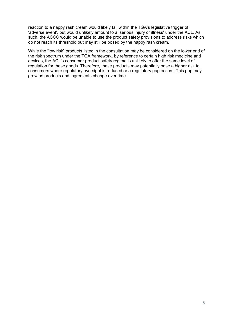reaction to a nappy rash cream would likely fall within the TGA's legislative trigger of 'adverse event', but would unlikely amount to a 'serious injury or illness' under the ACL. As such, the ACCC would be unable to use the product safety provisions to address risks which do not reach its threshold but may still be posed by the nappy rash cream.

While the "low risk" products listed in the consultation may be considered on the lower end of the risk spectrum under the TGA framework, by reference to certain high risk medicine and devices, the ACL's consumer product safety regime is unlikely to offer the same level of regulation for these goods. Therefore, these products may potentially pose a higher risk to consumers where regulatory oversight is reduced or a regulatory gap occurs. This gap may grow as products and ingredients change over time.